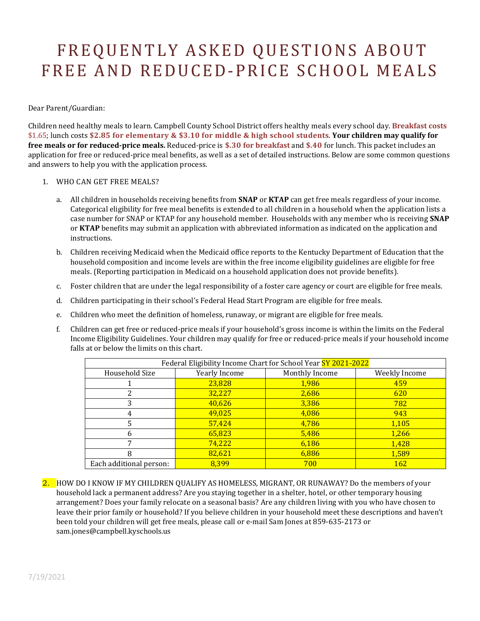## FREQUENTLY ASKED QUESTIONS ABOUT FREE AND REDUCED-PRICE SCHOOL MEALS

Dear Parent/Guardian:

Children need healthy meals to learn. Campbell County School District offers healthy meals every school day. **Breakfast costs** \$1.65; lunch costs **\$2.85 for elementary & \$3.10 for middle & high school students**. **Your children may qualify for free meals or for reduced-price meals.** Reduced-price is **\$.30 for breakfast** and **\$.40** for lunch. This packet includes an application for free or reduced-price meal benefits, as well as a set of detailed instructions. Below are some common questions and answers to help you with the application process.

- 1. WHO CAN GET FREE MEALS?
	- a. All children in households receiving benefits from **SNAP** or **KTAP** can get free meals regardless of your income. Categorical eligibility for free meal benefits is extended to all children in a household when the application lists a case number for SNAP or KTAP for any household member. Households with any member who is receiving **SNAP** or **KTAP** benefits may submit an application with abbreviated information as indicated on the application and instructions.
	- b. Children receiving Medicaid when the Medicaid office reports to the Kentucky Department of Education that the household composition and income levels are within the free income eligibility guidelines are eligible for free meals. (Reporting participation in Medicaid on a household application does not provide benefits).
	- c. Foster children that are under the legal responsibility of a foster care agency or court are eligible for free meals.
	- d. Children participating in their school's Federal Head Start Program are eligible for free meals.
	- e. Children who meet the definition of homeless, runaway, or migrant are eligible for free meals.
	- f. Children can get free or reduced-price meals if your household's gross income is within the limits on the Federal Income Eligibility Guidelines. Your children may qualify for free or reduced-price meals if your household income falls at or below the limits on this chart.

| Federal Eligibility Income Chart for School Year SY 2021-2022 |               |                |               |
|---------------------------------------------------------------|---------------|----------------|---------------|
| Household Size                                                | Yearly Income | Monthly Income | Weekly Income |
|                                                               | 23,828        | 1,986          | 459           |
|                                                               | 32,227        | 2,686          | 620           |
| 3                                                             | 40,626        | 3,386          | 782           |
| 4                                                             | 49,025        | 4,086          | 943           |
| 5                                                             | 57,424        | 4,786          | 1,105         |
|                                                               | 65,823        | 5,486          | 1,266         |
| 7                                                             | 74,222        | 6,186          | 1,428         |
| 8                                                             | 82,621        | 6,886          | 1,589         |
| Each additional person:                                       | 8,399         | 700            | <b>162</b>    |

2. HOW DO I KNOW IF MY CHILDREN QUALIFY AS HOMELESS, MIGRANT, OR RUNAWAY? Do the members of your household lack a permanent address? Are you staying together in a shelter, hotel, or other temporary housing arrangement? Does your family relocate on a seasonal basis? Are any children living with you who have chosen to leave their prior family or household? If you believe children in your household meet these descriptions and haven't been told your children will get free meals, please call or e-mail Sam Jones at 859-635-2173 or sam.jones@campbell.kyschools.us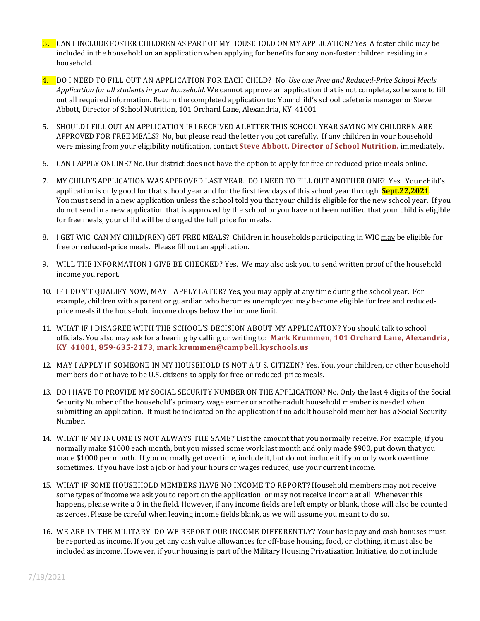- 3. CAN I INCLUDE FOSTER CHILDREN AS PART OF MY HOUSEHOLD ON MY APPLICATION? Yes. A foster child may be included in the household on an application when applying for benefits for any non-foster children residing in a household.
- 4. DO I NEED TO FILL OUT AN APPLICATION FOR EACH CHILD? No. *Use one Free and Reduced-Price School Meals Application for all students in your household.* We cannot approve an application that is not complete, so be sure to fill out all required information. Return the completed application to: Your child's school cafeteria manager or Steve Abbott, Director of School Nutrition, 101 Orchard Lane, Alexandria, KY 41001
- 5. SHOULD I FILL OUT AN APPLICATION IF I RECEIVED A LETTER THIS SCHOOL YEAR SAYING MY CHILDREN ARE APPROVED FOR FREE MEALS? No, but please read the letter you got carefully. If any children in your household were missing from your eligibility notification, contact **Steve Abbott, Director of School Nutrition,** immediately.
- 6. CAN I APPLY ONLINE? No. Our district does not have the option to apply for free or reduced-price meals online.
- 7. MY CHILD'S APPLICATION WAS APPROVED LAST YEAR. DO I NEED TO FILL OUT ANOTHER ONE? Yes. Your child's application is only good for that school year and for the first few days of this school year through **Sept.22,2021**. You must send in a new application unless the school told you that your child is eligible for the new school year. If you do not send in a new application that is approved by the school or you have not been notified that your child is eligible for free meals, your child will be charged the full price for meals.
- 8. I GET WIC. CAN MY CHILD(REN) GET FREE MEALS? Children in households participating in WIC may be eligible for free or reduced-price meals. Please fill out an application.
- 9. WILL THE INFORMATION I GIVE BE CHECKED? Yes. We may also ask you to send written proof of the household income you report.
- 10. IF I DON'T QUALIFY NOW, MAY I APPLY LATER? Yes, you may apply at any time during the school year. For example, children with a parent or guardian who becomes unemployed may become eligible for free and reducedprice meals if the household income drops below the income limit.
- 11. WHAT IF I DISAGREE WITH THE SCHOOL'S DECISION ABOUT MY APPLICATION? You should talk to school officials. You also may ask for a hearing by calling or writing to: **Mark Krummen, 101 Orchard Lane, Alexandria, KY 41001, 859-635-2173, mark.krummen@campbell.kyschools.us**
- 12. MAY I APPLY IF SOMEONE IN MY HOUSEHOLD IS NOT A U.S. CITIZEN? Yes. You, your children, or other household members do not have to be U.S. citizens to apply for free or reduced-price meals.
- 13. DO I HAVE TO PROVIDE MY SOCIAL SECURITY NUMBER ON THE APPLICATION? No. Only the last 4 digits of the Social Security Number of the household's primary wage earner or another adult household member is needed when submitting an application. It must be indicated on the application if no adult household member has a Social Security Number.
- 14. WHAT IF MY INCOME IS NOT ALWAYS THE SAME? List the amount that you normally receive. For example, if you normally make \$1000 each month, but you missed some work last month and only made \$900, put down that you made \$1000 per month. If you normally get overtime, include it, but do not include it if you only work overtime sometimes. If you have lost a job or had your hours or wages reduced, use your current income.
- 15. WHAT IF SOME HOUSEHOLD MEMBERS HAVE NO INCOME TO REPORT? Household members may not receive some types of income we ask you to report on the application, or may not receive income at all. Whenever this happens, please write a 0 in the field. However, if any income fields are left empty or blank, those will also be counted as zeroes. Please be careful when leaving income fields blank, as we will assume you meant to do so.
- 16. WE ARE IN THE MILITARY. DO WE REPORT OUR INCOME DIFFERENTLY? Your basic pay and cash bonuses must be reported as income. If you get any cash value allowances for off-base housing, food, or clothing, it must also be included as income. However, if your housing is part of the Military Housing Privatization Initiative, do not include